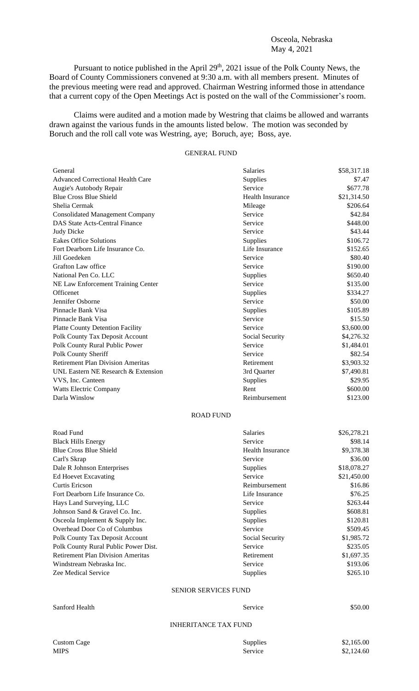## Osceola, Nebraska May 4, 2021

Pursuant to notice published in the April  $29<sup>th</sup>$ ,  $2021$  issue of the Polk County News, the Board of County Commissioners convened at 9:30 a.m. with all members present. Minutes of the previous meeting were read and approved. Chairman Westring informed those in attendance that a current copy of the Open Meetings Act is posted on the wall of the Commissioner's room.

Claims were audited and a motion made by Westring that claims be allowed and warrants drawn against the various funds in the amounts listed below. The motion was seconded by Boruch and the roll call vote was Westring, aye; Boruch, aye; Boss, aye.

## GENERAL FUND

| General                                  | Salaries                | \$58,317.18 |
|------------------------------------------|-------------------------|-------------|
| <b>Advanced Correctional Health Care</b> | Supplies                | \$7.47      |
| Augie's Autobody Repair                  | Service                 | \$677.78    |
| <b>Blue Cross Blue Shield</b>            | Health Insurance        | \$21,314.50 |
| Shelia Cermak                            | Mileage                 | \$206.64    |
| <b>Consolidated Management Company</b>   | Service                 | \$42.84     |
| <b>DAS State Acts-Central Finance</b>    | Service                 | \$448.00    |
| Judy Dicke                               | Service                 | \$43.44     |
| <b>Eakes Office Solutions</b>            | Supplies                | \$106.72    |
| Fort Dearborn Life Insurance Co.         | Life Insurance          | \$152.65    |
| Jill Goedeken                            | Service                 | \$80.40     |
| <b>Grafton Law office</b>                | Service                 | \$190.00    |
| National Pen Co. LLC                     | Supplies                | \$650.40    |
| NE Law Enforcement Training Center       | Service                 | \$135.00    |
| Officenet                                | Supplies                | \$334.27    |
| Jennifer Osborne                         | Service                 | \$50.00     |
| Pinnacle Bank Visa                       | Supplies                | \$105.89    |
| Pinnacle Bank Visa                       | Service                 | \$15.50     |
| <b>Platte County Detention Facility</b>  | Service                 | \$3,600.00  |
| Polk County Tax Deposit Account          | Social Security         | \$4,276.32  |
| Polk County Rural Public Power           | Service                 | \$1,484.01  |
| Polk County Sheriff                      | Service                 | \$82.54     |
| <b>Retirement Plan Division Ameritas</b> | Retirement              | \$3,903.32  |
| UNL Eastern NE Research & Extension      | 3rd Quarter             | \$7,490.81  |
| VVS, Inc. Canteen                        | Supplies                | \$29.95     |
| Watts Electric Company                   | Rent                    | \$600.00    |
| Darla Winslow                            | Reimbursement           | \$123.00    |
|                                          | <b>ROAD FUND</b>        |             |
| Road Fund                                | <b>Salaries</b>         | \$26,278.21 |
| <b>Black Hills Energy</b>                | Service                 | \$98.14     |
| <b>Blue Cross Blue Shield</b>            | <b>Health Insurance</b> | \$9,378.38  |
| Carl's Skrap                             | Service                 | \$36.00     |
| Dale R Johnson Enterprises               | Supplies                | \$18,078.27 |
| Ed Hoevet Excavating                     | Service                 | \$21,450.00 |
| Curtis Ericson                           | Reimbursement           | \$16.86     |
| Fort Dearborn Life Insurance Co.         | Life Insurance          | \$76.25     |
| Hays Land Surveying, LLC                 | Service                 | \$263.44    |
| Johnson Sand & Gravel Co. Inc.           | Supplies                | \$608.81    |
|                                          |                         |             |

| Road Fund                                | <b>Salaries</b>             | \$26,278.21                                  |
|------------------------------------------|-----------------------------|----------------------------------------------|
| <b>Black Hills Energy</b>                | Service                     | \$98.14                                      |
| <b>Blue Cross Blue Shield</b>            | Health Insurance            | \$9,378.38                                   |
| Carl's Skrap                             | Service                     | \$36.00                                      |
| Dale R Johnson Enterprises               | <b>Supplies</b>             | \$18,078.27                                  |
| Ed Hoevet Excavating                     | Service                     | \$21,450.00                                  |
| Curtis Ericson                           | Reimbursement               | \$16.86                                      |
| Fort Dearborn Life Insurance Co.         | Life Insurance              | \$76.25                                      |
| Hays Land Surveying, LLC                 | Service                     | \$263.44                                     |
| Johnson Sand & Gravel Co. Inc.           | <b>Supplies</b>             | \$608.81                                     |
| Osceola Implement & Supply Inc.          | <b>Supplies</b>             | \$120.81                                     |
| Overhead Door Co of Columbus             | Service                     | \$509.45                                     |
| Polk County Tax Deposit Account          | Social Security             | \$1,985.72                                   |
| Polk County Rural Public Power Dist.     | Service                     | \$235.05                                     |
| <b>Retirement Plan Division Ameritas</b> | Retirement                  | \$1,697.35                                   |
| Windstream Nebraska Inc.                 | Service                     | \$193.06                                     |
| Zee Medical Service                      | <b>Supplies</b>             | \$265.10                                     |
|                                          | <b>SENIOR SERVICES FUND</b> |                                              |
| Sanford Health                           | Service                     | \$50.00                                      |
|                                          | <b>INHERITANCE TAX FUND</b> |                                              |
|                                          |                             | $\wedge$ $\wedge$ $\wedge$ $\wedge$ $\wedge$ |

| <b>Custom Cage</b> |  |
|--------------------|--|
| <b>MIPS</b>        |  |

| Custom Cage | <b>Supplies</b> | \$2,165.00 |
|-------------|-----------------|------------|
| MIPS        | Service         | \$2,124.60 |